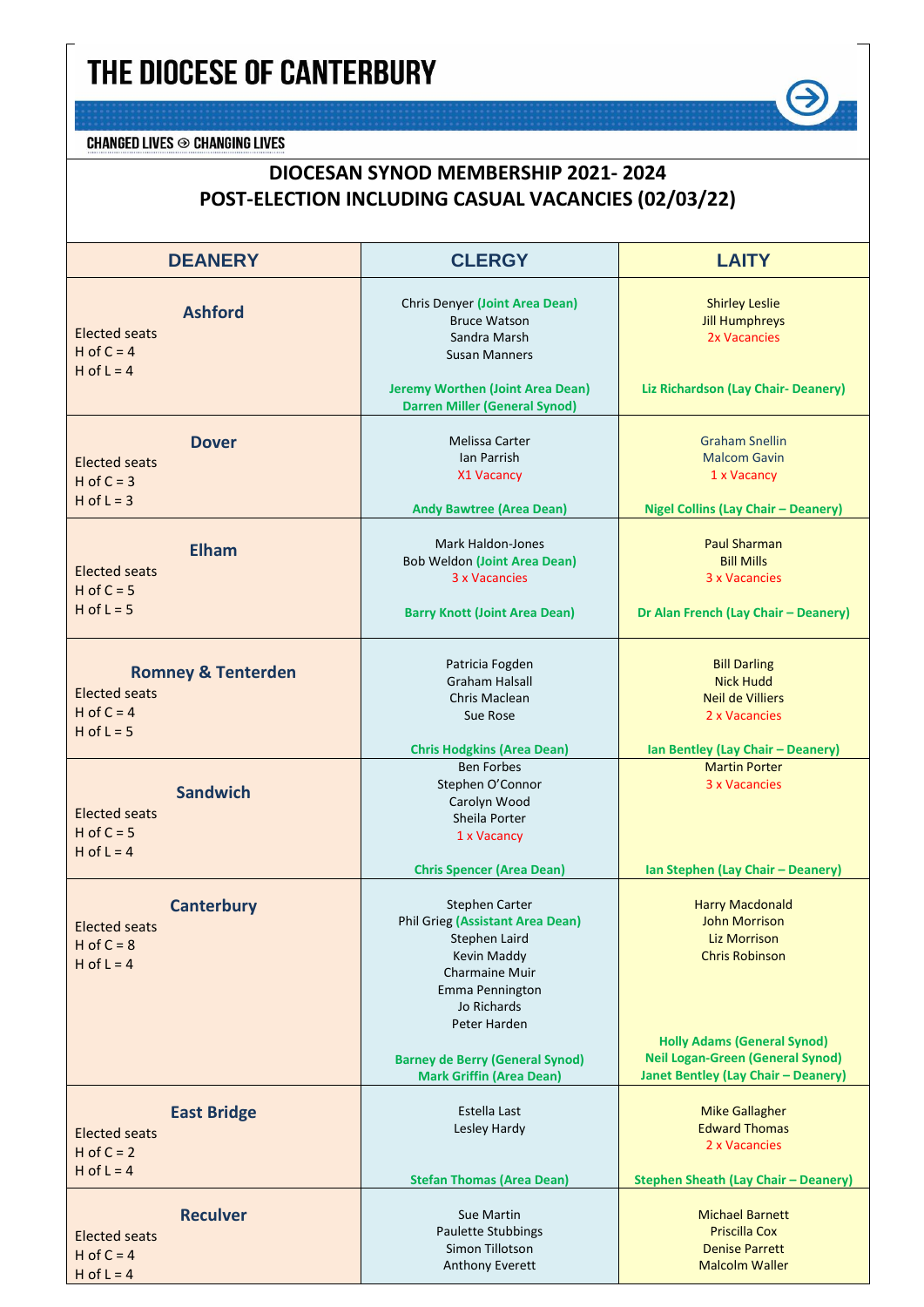## THE DIOCESE OF CANTERBURY

**CHANGED LIVES**  $\odot$  **CHANGING LIVES** 

## **DIOCESAN SYNOD MEMBERSHIP 2021- 2024 POST-ELECTION INCLUDING CASUAL VACANCIES (02/03/22)**

| <b>DEANERY</b>                                                                          | <b>CLERGY</b>                                                                                                                                                                                                                                     | <b>LAITY</b>                                                                                                                                                                                                           |
|-----------------------------------------------------------------------------------------|---------------------------------------------------------------------------------------------------------------------------------------------------------------------------------------------------------------------------------------------------|------------------------------------------------------------------------------------------------------------------------------------------------------------------------------------------------------------------------|
| <b>Ashford</b><br><b>Elected seats</b><br>H of $C = 4$<br>H of $L = 4$                  | Chris Denyer (Joint Area Dean)<br><b>Bruce Watson</b><br>Sandra Marsh<br><b>Susan Manners</b><br><b>Jeremy Worthen (Joint Area Dean)</b><br><b>Darren Miller (General Synod)</b>                                                                  | <b>Shirley Leslie</b><br><b>Jill Humphreys</b><br>2x Vacancies<br>Liz Richardson (Lay Chair- Deanery)                                                                                                                  |
| <b>Dover</b><br>Elected seats<br>$H$ of $C = 3$<br>$H$ of $L = 3$                       | Melissa Carter<br>Ian Parrish<br>X1 Vacancy<br><b>Andy Bawtree (Area Dean)</b>                                                                                                                                                                    | <b>Graham Snellin</b><br><b>Malcom Gavin</b><br>1 x Vacancy<br><b>Nigel Collins (Lay Chair - Deanery)</b>                                                                                                              |
| <b>Elham</b><br><b>Elected seats</b><br>$H$ of $C = 5$<br>$H$ of $L = 5$                | <b>Mark Haldon-Jones</b><br><b>Bob Weldon (Joint Area Dean)</b><br>3 x Vacancies<br><b>Barry Knott (Joint Area Dean)</b>                                                                                                                          | <b>Paul Sharman</b><br><b>Bill Mills</b><br>3 x Vacancies<br>Dr Alan French (Lay Chair - Deanery)                                                                                                                      |
| <b>Romney &amp; Tenterden</b><br><b>Elected seats</b><br>H of $C = 4$<br>$H$ of $L = 5$ | Patricia Fogden<br><b>Graham Halsall</b><br>Chris Maclean<br>Sue Rose<br><b>Chris Hodgkins (Area Dean)</b>                                                                                                                                        | <b>Bill Darling</b><br><b>Nick Hudd</b><br><b>Neil de Villiers</b><br>2 x Vacancies<br>Ian Bentley (Lay Chair - Deanery)                                                                                               |
| <b>Sandwich</b><br><b>Elected seats</b><br>$H$ of $C = 5$<br>H of $L = 4$               | <b>Ben Forbes</b><br>Stephen O'Connor<br>Carolyn Wood<br>Sheila Porter<br>1 x Vacancy<br><b>Chris Spencer (Area Dean)</b>                                                                                                                         | <b>Martin Porter</b><br>3 x Vacancies<br>Ian Stephen (Lay Chair - Deanery)                                                                                                                                             |
| <b>Canterbury</b><br><b>Elected seats</b><br>H of $C = 8$<br>H of $L = 4$               | Stephen Carter<br><b>Phil Grieg (Assistant Area Dean)</b><br>Stephen Laird<br>Kevin Maddy<br><b>Charmaine Muir</b><br>Emma Pennington<br>Jo Richards<br>Peter Harden<br><b>Barney de Berry (General Synod)</b><br><b>Mark Griffin (Area Dean)</b> | <b>Harry Macdonald</b><br><b>John Morrison</b><br><b>Liz Morrison</b><br><b>Chris Robinson</b><br><b>Holly Adams (General Synod)</b><br><b>Neil Logan-Green (General Synod)</b><br>Janet Bentley (Lay Chair - Deanery) |
| <b>East Bridge</b><br><b>Elected seats</b><br>$H$ of $C = 2$<br>H of $L = 4$            | Estella Last<br>Lesley Hardy<br><b>Stefan Thomas (Area Dean)</b>                                                                                                                                                                                  | <b>Mike Gallagher</b><br><b>Edward Thomas</b><br>2 x Vacancies<br><b>Stephen Sheath (Lay Chair - Deanery)</b>                                                                                                          |
| <b>Reculver</b><br><b>Elected seats</b><br>H of $C = 4$<br>$H$ of $L = 4$               | Sue Martin<br>Paulette Stubbings<br>Simon Tillotson<br>Anthony Everett                                                                                                                                                                            | <b>Michael Barnett</b><br><b>Priscilla Cox</b><br><b>Denise Parrett</b><br><b>Malcolm Waller</b>                                                                                                                       |